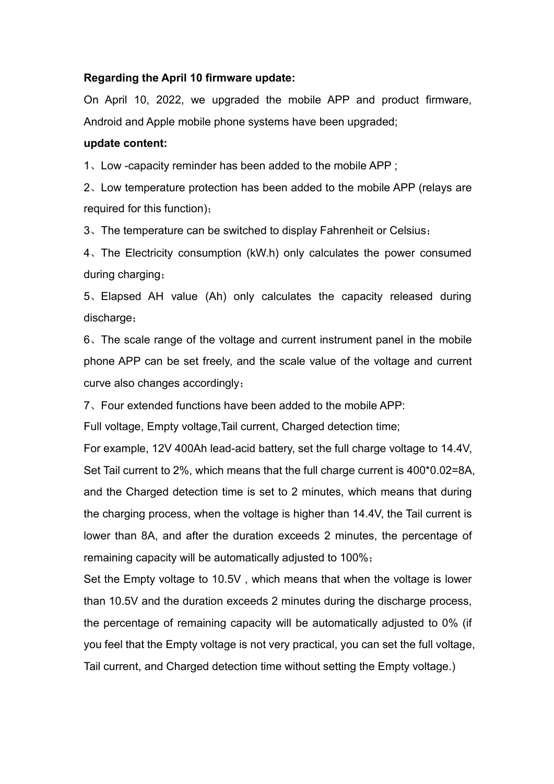## **Regarding the April 10 firmware update:**

On April 10, 2022, we upgraded the mobile APP and product firmware, Android and Apple mobile phone systems have been upgraded;

## **update content:**

1、Low -capacity reminder has been added to the mobile APP ;

2、Low temperature protection has been added to the mobile APP (relays are required for this function);

3、The temperature can be switched to display Fahrenheit or Celsius;

4、The Electricity consumption (kW.h) only calculates the power consumed during charging;

5、Elapsed AH value (Ah) only calculates the capacity released during discharge;

6、The scale range of the voltage and current instrument panel in the mobile phone APP can be set freely, and the scale value of the voltage and current curve also changes accordingly;

7、Four extended functions have been added to the mobile APP:

Full voltage, Empty voltage, Tail current, Charged detection time;

For example, 12V 400Ah lead-acid battery, set the full charge voltage to 14.4V, Set Tail current to 2%, which means that the full charge current is 400\*0.02=8A, and the Charged detection time is set to 2 minutes, which means that during the charging process, when the voltage is higher than 14.4V, the Tail current is lower than 8A, and after the duration exceeds 2 minutes, the percentage of remaining capacity will be automatically adjusted to 100%;

Set the Empty voltage to 10.5V, which means that when the voltage is lower than 10.5V and the duration exceeds 2 minutes during the discharge process, the percentage of remaining capacity will be automatically adjusted to 0% (if you feel that the Empty voltage is not very practical, you can set the full voltage,<br>Tail current, and Charged detection time without setting the Empty voltage.)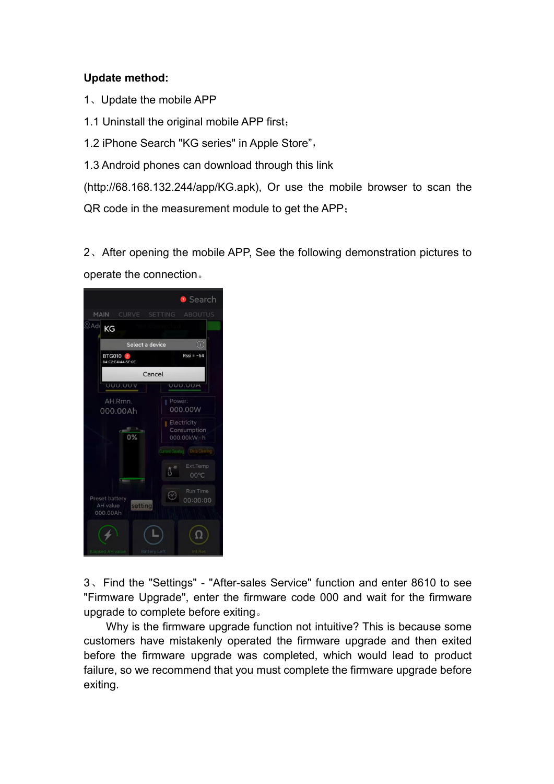## **Update method:**

- 1、Update the mobile APP
- 1.1 Uninstall the original mobile APP first;
- 1.2 iPhone Search "KG series" in Apple Store",
- 1.3 Android phones can download through this link

(http://68.168.132.244/app/KG.apk), Or use the mobile browser to scan the QR code in the measurement module to get the APP;

2、After opening the mobile APP, See the following demonstration pictures to operate the connection。



3、Find the "Settings" - "After-sales Service" function and enter 8610 to see "Firmware Upgrade", enter the firmware code 000 and wait for the firmware upgrade to complete before exiting。

Why is the firmware upgrade function not intuitive? This is because some customers have mistakenly operated the firmware upgrade and then exited before the firmware upgrade was completed, which would lead to product failure, so we recommend that you must complete the firmware upgrade before exiting.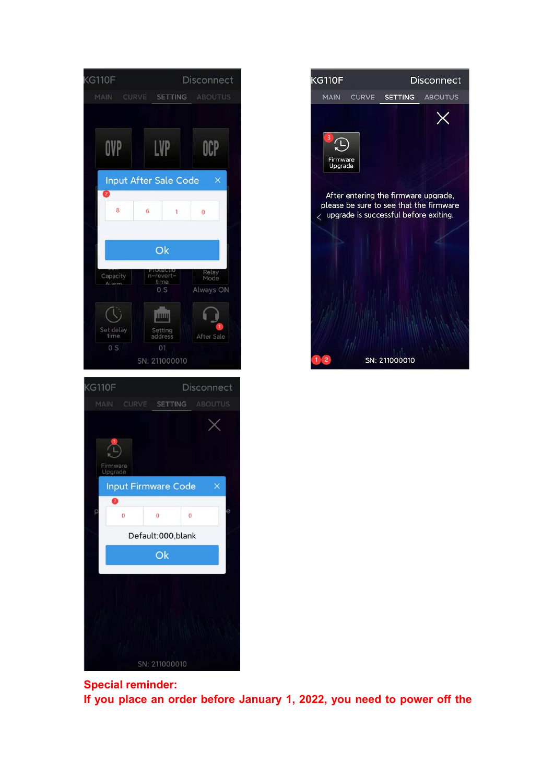| <b>KG110F</b><br>Disconnect                                              |
|--------------------------------------------------------------------------|
| <b>CURVE</b><br><b>ABOUTUS</b><br>MAIN<br><b>SETTING</b>                 |
| LVP<br>OVP<br>OCP                                                        |
| <b>Input After Sale Code</b><br>×<br>2                                   |
| 8<br>6<br>1<br>$\overline{0}$                                            |
| Ok                                                                       |
| Relay<br>Mode<br>Capacity<br>revert-<br>time<br>Alarm<br>0S<br>Always ON |
| IIIIII<br>Set delay<br>time<br>Setting<br>address<br>After Sale          |
| 0S<br>01<br>SN: 211000010                                                |
| <b>KG110F</b><br>Disconnect                                              |
| MAIN<br>CURVE<br><b>SETTING</b><br><b>ABOUTUS</b>                        |
| 1<br>Firmware<br>Upgrade                                                 |
| <b>Input Firmware Code</b><br>×                                          |
| Ø<br>e<br>p<br>$\overline{0}$<br>0<br>$\mathbf{0}$                       |
| Default:000, blank                                                       |
| Ok                                                                       |
|                                                                          |
|                                                                          |



**Special reminder: If you place an order before January 1, 2022, you need to power off the**